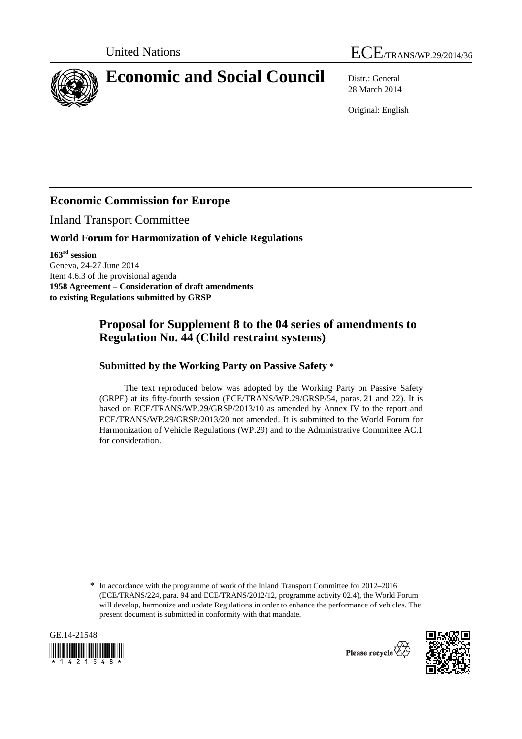



# **Economic and Social Council** Distr.: General

28 March 2014

Original: English

## **Economic Commission for Europe**

Inland Transport Committee

#### **World Forum for Harmonization of Vehicle Regulations**

**163rd session**  Geneva, 24-27 June 2014 Item 4.6.3 of the provisional agenda **1958 Agreement – Consideration of draft amendments to existing Regulations submitted by GRSP** 

## **Proposal for Supplement 8 to the 04 series of amendments to Regulation No. 44 (Child restraint systems)**

#### **Submitted by the Working Party on Passive Safety** \*

The text reproduced below was adopted by the Working Party on Passive Safety (GRPE) at its fifty-fourth session (ECE/TRANS/WP.29/GRSP/54, paras. 21 and 22). It is based on ECE/TRANS/WP.29/GRSP/2013/10 as amended by Annex IV to the report and ECE/TRANS/WP.29/GRSP/2013/20 not amended. It is submitted to the World Forum for Harmonization of Vehicle Regulations (WP.29) and to the Administrative Committee AC.1 for consideration.

<sup>\*</sup> In accordance with the programme of work of the Inland Transport Committee for 2012–2016 (ECE/TRANS/224, para. 94 and ECE/TRANS/2012/12, programme activity 02.4), the World Forum will develop, harmonize and update Regulations in order to enhance the performance of vehicles. The present document is submitted in conformity with that mandate.